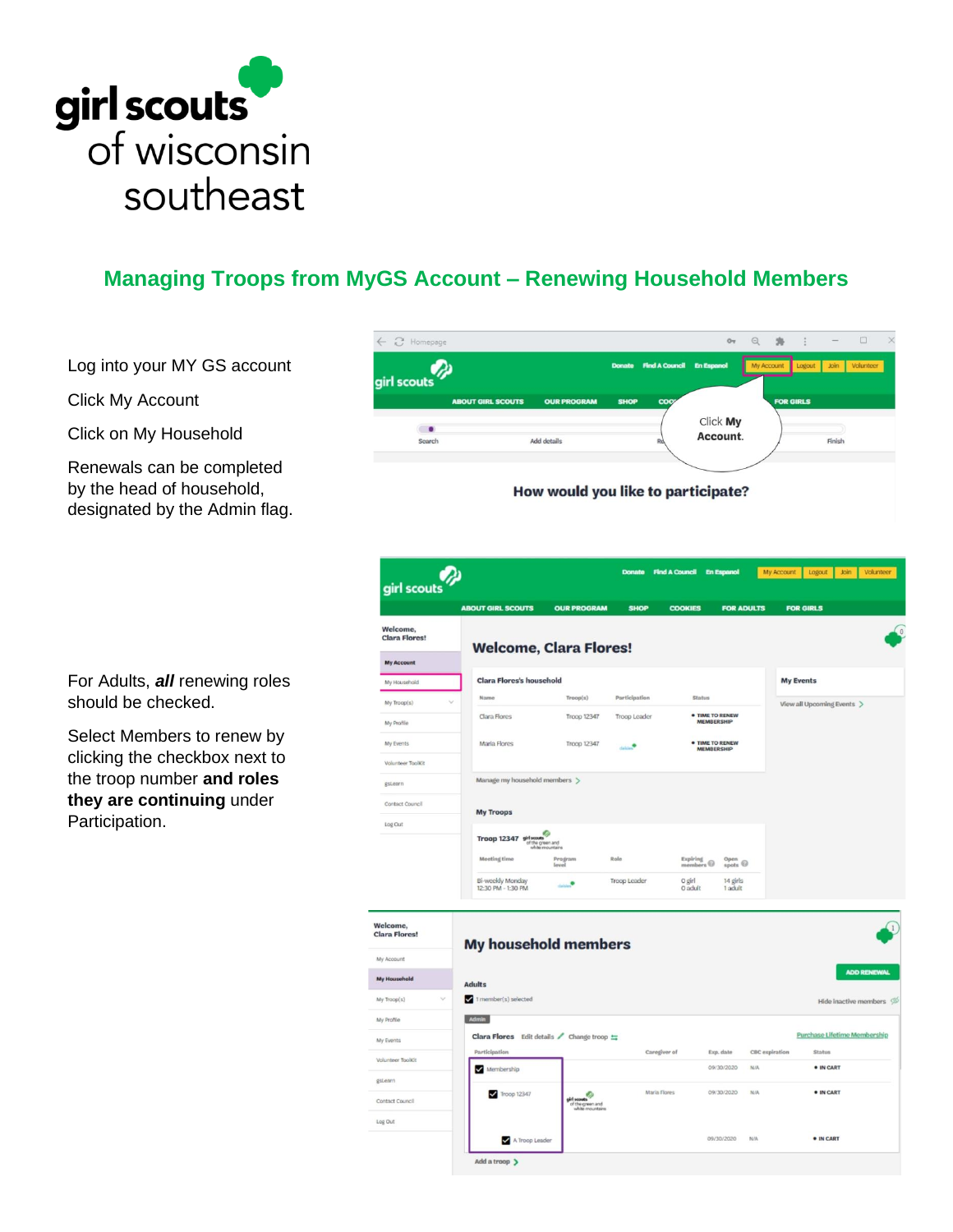

## **Managing Troops from MyGS Account – Renewing Household Members**

Log into your MY GS account

Click My Account

Click on My Household

Renewals can be completed by the head of household, designated by the Admin flag.



|                                                            | girl scouts<br><b>ABOUT GIRL SCOUTS</b>  | <b>OUR PROGRAM</b>                                 | <b>SHOP</b>   | <b>COOKIES</b>                     | <b>FOR ADULTS</b>                                                                   |                       | <b>FOR GIRLS</b>                    |  |
|------------------------------------------------------------|------------------------------------------|----------------------------------------------------|---------------|------------------------------------|-------------------------------------------------------------------------------------|-----------------------|-------------------------------------|--|
| Welcome.<br><b>Clara Flores!</b>                           | <b>Welcome, Clara Flores!</b>            |                                                    |               |                                    |                                                                                     |                       |                                     |  |
| <b>My Account</b>                                          |                                          |                                                    |               |                                    |                                                                                     |                       |                                     |  |
| My Household                                               | <b>Clara Flores's household</b>          |                                                    |               |                                    |                                                                                     |                       | <b>My Events</b>                    |  |
| $\sim$<br>My Troop(s)                                      | Name                                     | Trop(s)                                            | Participation | <b>Status</b>                      |                                                                                     |                       | View all Upcoming Events >          |  |
| My Profile                                                 | Clara Flores                             | Troop 12347                                        | Troop Leader  |                                    | · TIME TO RENEW<br><b>MEMBERSHIP</b><br><b>• TIME TO RENEW</b><br><b>MEMBERSHIP</b> |                       |                                     |  |
| My Events                                                  | Maria Flores                             | Troop 12347                                        | ٠             |                                    |                                                                                     |                       |                                     |  |
| Volunteer ToolKit                                          |                                          |                                                    |               |                                    |                                                                                     |                       |                                     |  |
| gstearn                                                    | Manage my household members >            |                                                    |               |                                    |                                                                                     |                       |                                     |  |
| Contact Council                                            | <b>My Troops</b>                         |                                                    |               |                                    |                                                                                     |                       |                                     |  |
| Log Out                                                    |                                          |                                                    |               |                                    |                                                                                     |                       |                                     |  |
|                                                            | Troop 12347 sid sot                      | of the green and                                   |               |                                    |                                                                                     |                       |                                     |  |
|                                                            | Meeting time                             | Program<br>level                                   | Role          | Expiring<br>members $\circledcirc$ | Open<br>$_{\text{spots}}$                                                           |                       |                                     |  |
|                                                            | Bi-weekly Monday<br>12:30 PM - 1:30 PM   | dalum <sup>0</sup>                                 | Troop Leader  | 0 girl<br>0 adult                  | 14 girls<br>1 adult                                                                 |                       |                                     |  |
| Welcome,<br><b>Clara Flores!</b><br>My Account             | My household members                     |                                                    |               |                                    |                                                                                     |                       |                                     |  |
| <b>My Household</b>                                        | <b>Adults</b>                            |                                                    |               |                                    |                                                                                     |                       | <b>ADD RENEWAL</b>                  |  |
| My Troop(s)                                                | 1 member(s) selected                     |                                                    |               |                                    |                                                                                     |                       | Hide inactive members $\oslash$     |  |
| My Profile                                                 | Admin                                    |                                                    |               |                                    |                                                                                     |                       |                                     |  |
| My Events                                                  | Clara Flores Edit details / Change troop |                                                    |               |                                    |                                                                                     |                       | <b>Purchase Lifetime Membership</b> |  |
|                                                            | Participation<br>Membership              |                                                    |               | Caregiver of                       | Exp. date<br>09/30/2020                                                             | CBC expiration<br>N/A | <b>Status</b><br>· IN CART          |  |
|                                                            |                                          |                                                    |               |                                    |                                                                                     |                       |                                     |  |
|                                                            |                                          |                                                    |               | Maria Flores                       | 09/30/2020                                                                          | N/A                   | · IN CART                           |  |
|                                                            | Troop 12347                              | Ø                                                  |               |                                    |                                                                                     |                       |                                     |  |
| Volunteer ToolKit<br>gstearn<br>Contact Council<br>Log Out |                                          | girl scouts<br>of the green and<br>white mountains |               |                                    |                                                                                     |                       |                                     |  |

For Adults, *all* renewing roles should be checked.

Select Members to renew by clicking the checkbox next to the troop number **and roles they are continuing** under Participation.